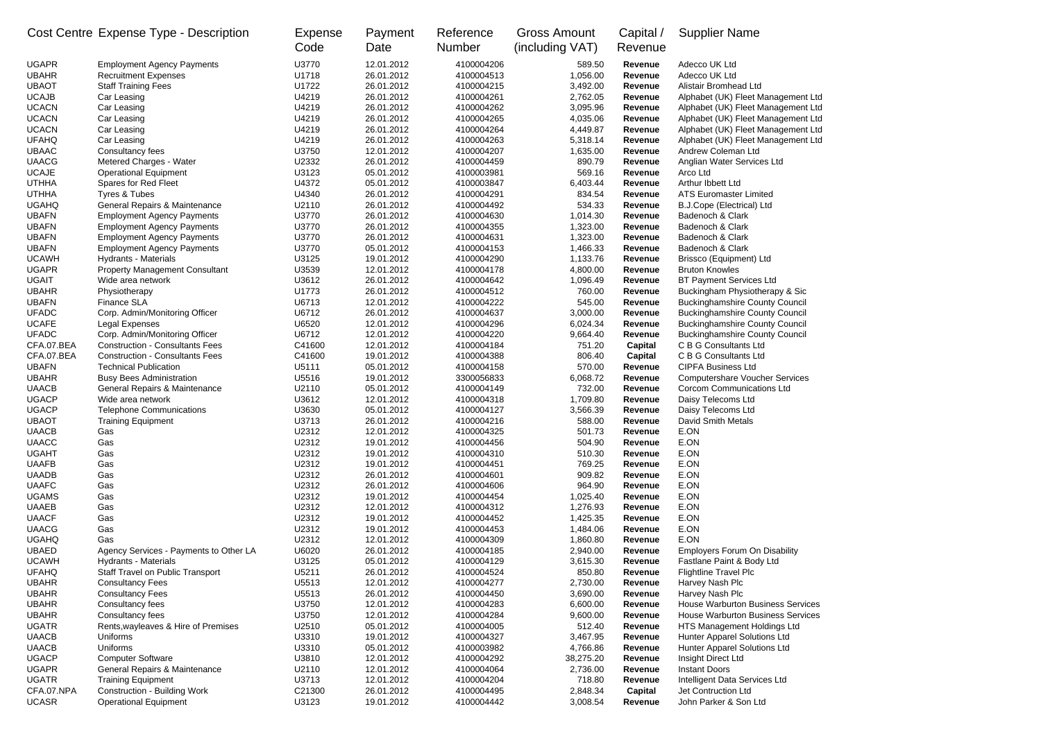| Cost Centre Expense Type - Description |                                       | Expense<br>Code | Payment<br>Date | Reference<br><b>Number</b> | <b>Gross Amount</b><br>(including VAT) | Capital /<br>Revenue | <b>Supplier Name</b>               |
|----------------------------------------|---------------------------------------|-----------------|-----------------|----------------------------|----------------------------------------|----------------------|------------------------------------|
| <b>UGAPR</b>                           | <b>Employment Agency Payments</b>     | U3770           | 12.01.2012      | 4100004206                 | 589.50                                 | Revenue              | Adecco UK Ltd                      |
| <b>UBAHR</b>                           | <b>Recruitment Expenses</b>           | U1718           | 26.01.2012      | 4100004513                 | 1,056.00                               | Revenue              | Adecco UK Ltd                      |
| <b>UBAOT</b>                           | <b>Staff Training Fees</b>            | U1722           | 26.01.2012      | 4100004215                 | 3,492.00                               | Revenue              | Alistair Bromhead Ltd              |
| <b>UCAJB</b>                           | Car Leasing                           | U4219           | 26.01.2012      | 4100004261                 | 2,762.05                               | Revenue              | Alphabet (UK) Fleet Management Ltd |
| <b>UCACN</b>                           | Car Leasing                           | U4219           | 26.01.2012      | 4100004262                 | 3,095.96                               | Revenue              | Alphabet (UK) Fleet Management Ltd |
| <b>UCACN</b>                           | Car Leasing                           | U4219           | 26.01.2012      | 4100004265                 | 4,035.06                               | Revenue              | Alphabet (UK) Fleet Management Ltd |
| <b>UCACN</b>                           | Car Leasing                           | U4219           | 26.01.2012      | 4100004264                 | 4,449.87                               | Revenue              | Alphabet (UK) Fleet Management Ltd |
| <b>UFAHQ</b>                           | Car Leasing                           | U4219           | 26.01.2012      | 4100004263                 | 5,318.14                               | Revenue              | Alphabet (UK) Fleet Management Ltd |
| <b>UBAAC</b>                           | Consultancy fees                      | U3750           | 12.01.2012      | 4100004207                 | 1,635.00                               | Revenue              | Andrew Coleman Ltd                 |
| <b>UAACG</b>                           | Metered Charges - Water               | U2332           | 26.01.2012      | 4100004459                 | 890.79                                 | Revenue              | Anglian Water Services Ltd         |
| <b>UCAJE</b>                           | <b>Operational Equipment</b>          | U3123           | 05.01.2012      | 4100003981                 | 569.16                                 | Revenue              | Arco Ltd                           |
| <b>UTHHA</b>                           | Spares for Red Fleet                  | U4372           | 05.01.2012      | 4100003847                 | 6,403.44                               | Revenue              | Arthur Ibbett Ltd                  |
| <b>UTHHA</b>                           | Tyres & Tubes                         | U4340           | 26.01.2012      | 4100004291                 | 834.54                                 | Revenue              | <b>ATS Euromaster Limited</b>      |
| <b>UGAHQ</b>                           | General Repairs & Maintenance         | U2110           | 26.01.2012      | 4100004492                 | 534.33                                 | Revenue              | B.J.Cope (Electrical) Ltd          |
| <b>UBAFN</b>                           | <b>Employment Agency Payments</b>     | U3770           | 26.01.2012      | 4100004630                 | 1,014.30                               | Revenue              | Badenoch & Clark                   |
| <b>UBAFN</b>                           | <b>Employment Agency Payments</b>     | U3770           | 26.01.2012      | 4100004355                 | 1,323.00                               | Revenue              | Badenoch & Clark                   |
| <b>UBAFN</b>                           | <b>Employment Agency Payments</b>     | U3770           | 26.01.2012      | 4100004631                 | 1,323.00                               | Revenue              | Badenoch & Clark                   |
| <b>UBAFN</b>                           | <b>Employment Agency Payments</b>     | U3770           | 05.01.2012      | 4100004153                 | 1,466.33                               | Revenue              | Badenoch & Clark                   |
| <b>UCAWH</b>                           | Hydrants - Materials                  | U3125           | 19.01.2012      | 4100004290                 | 1,133.76                               | Revenue              | Brissco (Equipment) Ltd            |
| <b>UGAPR</b>                           | <b>Property Management Consultant</b> | U3539           | 12.01.2012      | 4100004178                 | 4,800.00                               | Revenue              | <b>Bruton Knowles</b>              |
| <b>UGAIT</b>                           | Wide area network                     | U3612           | 26.01.2012      | 4100004642                 | 1,096.49                               | Revenue              | <b>BT Payment Services Ltd</b>     |
|                                        |                                       |                 |                 |                            |                                        |                      |                                    |

| <b>UGAHQ</b> | General Repairs & Maintenance          | U2110  | 26.01.2012 | 4100004492 | 534.33    | Revenue        | <b>B.J.Cope (Electrical) Ltd</b>         |
|--------------|----------------------------------------|--------|------------|------------|-----------|----------------|------------------------------------------|
| <b>UBAFN</b> | <b>Employment Agency Payments</b>      | U3770  | 26.01.2012 | 4100004630 | 1,014.30  | Revenue        | Badenoch & Clark                         |
| <b>UBAFN</b> | <b>Employment Agency Payments</b>      | U3770  | 26.01.2012 | 4100004355 | 1,323.00  | Revenue        | Badenoch & Clark                         |
| <b>UBAFN</b> | <b>Employment Agency Payments</b>      | U3770  | 26.01.2012 | 4100004631 | 1,323.00  | Revenue        | Badenoch & Clark                         |
| <b>UBAFN</b> | <b>Employment Agency Payments</b>      | U3770  | 05.01.2012 | 4100004153 | 1,466.33  | <b>Revenue</b> | Badenoch & Clark                         |
| <b>UCAWH</b> | Hydrants - Materials                   | U3125  | 19.01.2012 | 4100004290 | 1,133.76  | Revenue        | Brissco (Equipment) Ltd                  |
| <b>UGAPR</b> | <b>Property Management Consultant</b>  | U3539  | 12.01.2012 | 4100004178 | 4,800.00  | Revenue        | <b>Bruton Knowles</b>                    |
| <b>UGAIT</b> | Wide area network                      | U3612  | 26.01.2012 | 4100004642 | 1,096.49  | Revenue        | <b>BT Payment Services Ltd</b>           |
| <b>UBAHR</b> | Physiotherapy                          | U1773  | 26.01.2012 | 4100004512 | 760.00    | Revenue        | Buckingham Physiotherapy & Sic           |
| <b>UBAFN</b> | Finance SLA                            | U6713  | 12.01.2012 | 4100004222 | 545.00    | Revenue        | <b>Buckinghamshire County Council</b>    |
| <b>UFADC</b> | Corp. Admin/Monitoring Officer         | U6712  | 26.01.2012 | 4100004637 | 3,000.00  | Revenue        | <b>Buckinghamshire County Council</b>    |
| <b>UCAFE</b> | Legal Expenses                         | U6520  | 12.01.2012 | 4100004296 | 6,024.34  | <b>Revenue</b> | <b>Buckinghamshire County Council</b>    |
| <b>UFADC</b> | Corp. Admin/Monitoring Officer         | U6712  | 12.01.2012 | 4100004220 | 9,664.40  | <b>Revenue</b> | <b>Buckinghamshire County Council</b>    |
| CFA.07.BEA   | <b>Construction - Consultants Fees</b> | C41600 | 12.01.2012 | 4100004184 | 751.20    | <b>Capital</b> | C B G Consultants Ltd                    |
| CFA.07.BEA   | <b>Construction - Consultants Fees</b> | C41600 | 19.01.2012 | 4100004388 | 806.40    | <b>Capital</b> | C B G Consultants Ltd                    |
| <b>UBAFN</b> | <b>Technical Publication</b>           | U5111  | 05.01.2012 | 4100004158 | 570.00    | Revenue        | <b>CIPFA Business Ltd</b>                |
| <b>UBAHR</b> | <b>Busy Bees Administration</b>        | U5516  | 19.01.2012 | 3300056833 | 6,068.72  | Revenue        | <b>Computershare Voucher Services</b>    |
| <b>UAACB</b> | General Repairs & Maintenance          | U2110  | 05.01.2012 | 4100004149 | 732.00    | Revenue        | <b>Corcom Communications Ltd</b>         |
| <b>UGACP</b> | Wide area network                      | U3612  | 12.01.2012 | 4100004318 | 1,709.80  | Revenue        | Daisy Telecoms Ltd                       |
| <b>UGACP</b> | <b>Telephone Communications</b>        | U3630  | 05.01.2012 | 4100004127 | 3,566.39  | Revenue        | Daisy Telecoms Ltd                       |
| <b>UBAOT</b> | <b>Training Equipment</b>              | U3713  | 26.01.2012 | 4100004216 | 588.00    | <b>Revenue</b> | <b>David Smith Metals</b>                |
| <b>UAACB</b> | Gas                                    | U2312  | 12.01.2012 | 4100004325 | 501.73    | Revenue        | E.ON                                     |
| <b>UAACC</b> | Gas                                    | U2312  | 19.01.2012 | 4100004456 | 504.90    | <b>Revenue</b> | E.ON                                     |
| <b>UGAHT</b> | Gas                                    | U2312  | 19.01.2012 | 4100004310 | 510.30    | Revenue        | E.ON                                     |
| <b>UAAFB</b> | Gas                                    | U2312  | 19.01.2012 | 4100004451 | 769.25    | Revenue        | E.ON                                     |
| <b>UAADB</b> | Gas                                    | U2312  | 26.01.2012 | 4100004601 | 909.82    | Revenue        | E.ON                                     |
| <b>UAAFC</b> | Gas                                    | U2312  | 26.01.2012 | 4100004606 | 964.90    | Revenue        | E.ON                                     |
| <b>UGAMS</b> | Gas                                    | U2312  | 19.01.2012 | 4100004454 | 1,025.40  | Revenue        | E.ON                                     |
| <b>UAAEB</b> | Gas                                    | U2312  | 12.01.2012 | 4100004312 | 1,276.93  | Revenue        | E.ON                                     |
| <b>UAACF</b> | Gas                                    | U2312  | 19.01.2012 | 4100004452 | 1,425.35  | Revenue        | E.ON                                     |
| <b>UAACG</b> | Gas                                    | U2312  | 19.01.2012 | 4100004453 | 1,484.06  | Revenue        | E.ON                                     |
| <b>UGAHQ</b> | Gas                                    | U2312  | 12.01.2012 | 4100004309 | 1,860.80  | Revenue        | E.ON                                     |
| <b>UBAED</b> | Agency Services - Payments to Other LA | U6020  | 26.01.2012 | 4100004185 | 2,940.00  | Revenue        | <b>Employers Forum On Disability</b>     |
| <b>UCAWH</b> | Hydrants - Materials                   | U3125  | 05.01.2012 | 4100004129 | 3,615.30  | Revenue        | Fastlane Paint & Body Ltd                |
| <b>UFAHQ</b> | Staff Travel on Public Transport       | U5211  | 26.01.2012 | 4100004524 | 850.80    | Revenue        | <b>Flightline Travel Plc</b>             |
| <b>UBAHR</b> | <b>Consultancy Fees</b>                | U5513  | 12.01.2012 | 4100004277 | 2,730.00  | Revenue        | Harvey Nash Plc                          |
| <b>UBAHR</b> | <b>Consultancy Fees</b>                | U5513  | 26.01.2012 | 4100004450 | 3,690.00  | Revenue        | Harvey Nash Plc                          |
| <b>UBAHR</b> | Consultancy fees                       | U3750  | 12.01.2012 | 4100004283 | 6,600.00  | Revenue        | <b>House Warburton Business Services</b> |
| <b>UBAHR</b> | Consultancy fees                       | U3750  | 12.01.2012 | 4100004284 | 9,600.00  | Revenue        | House Warburton Business Services        |
| <b>UGATR</b> | Rents, wayleaves & Hire of Premises    | U2510  | 05.01.2012 | 4100004005 | 512.40    | <b>Revenue</b> | HTS Management Holdings Ltd              |
| <b>UAACB</b> | Uniforms                               | U3310  | 19.01.2012 | 4100004327 | 3,467.95  | Revenue        | Hunter Apparel Solutions Ltd             |
| <b>UAACB</b> | Uniforms                               | U3310  | 05.01.2012 | 4100003982 | 4,766.86  | Revenue        | Hunter Apparel Solutions Ltd             |
| <b>UGACP</b> | <b>Computer Software</b>               | U3810  | 12.01.2012 | 4100004292 | 38,275.20 | Revenue        | Insight Direct Ltd                       |
| <b>UGAPR</b> | General Repairs & Maintenance          | U2110  | 12.01.2012 | 4100004064 | 2,736.00  | Revenue        | <b>Instant Doors</b>                     |
| <b>UGATR</b> | <b>Training Equipment</b>              | U3713  | 12.01.2012 | 4100004204 | 718.80    | Revenue        | Intelligent Data Services Ltd            |
| CFA.07.NPA   | <b>Construction - Building Work</b>    | C21300 | 26.01.2012 | 4100004495 | 2,848.34  | <b>Capital</b> | Jet Contruction Ltd                      |
| <b>UCASR</b> | <b>Operational Equipment</b>           | U3123  | 19.01.2012 | 4100004442 | 3,008.54  | Revenue        | John Parker & Son Ltd                    |
|              |                                        |        |            |            |           |                |                                          |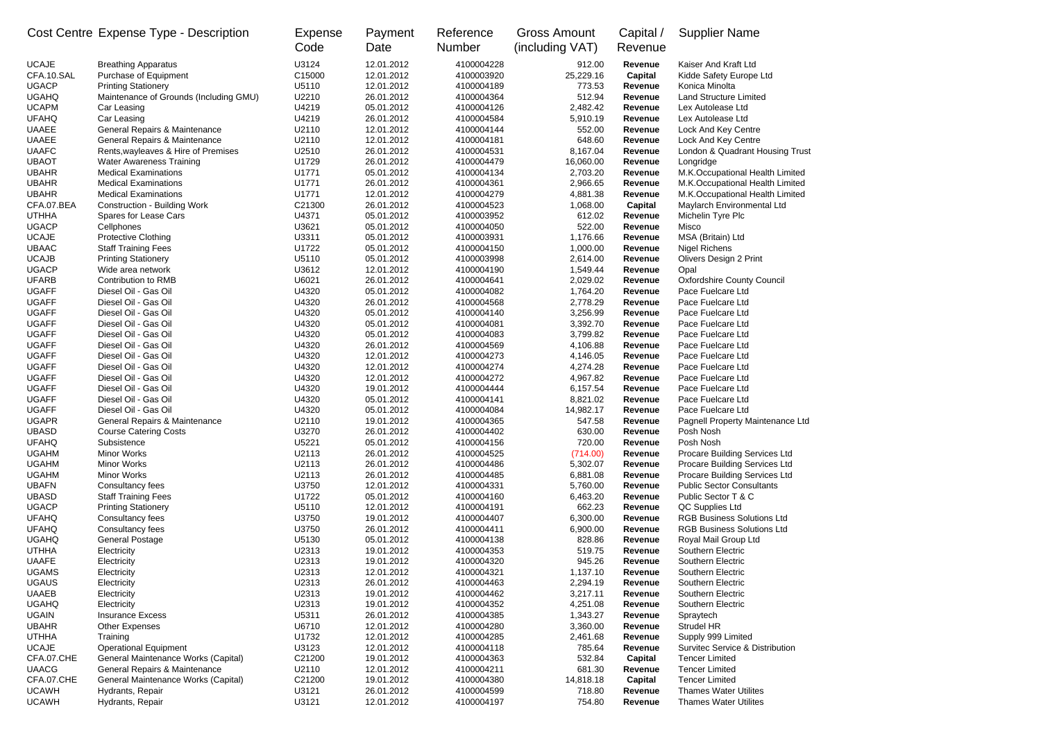|                              | Cost Centre Expense Type - Description                               | Expense<br>Code | Payment<br>Date          | Reference<br><b>Number</b> | <b>Gross Amount</b><br>(including VAT) | Capital /<br>Revenue             | <b>Supplier Name</b>                                           |
|------------------------------|----------------------------------------------------------------------|-----------------|--------------------------|----------------------------|----------------------------------------|----------------------------------|----------------------------------------------------------------|
| <b>UCAJE</b><br>CFA.10.SAL   | <b>Breathing Apparatus</b>                                           | U3124           | 12.01.2012               | 4100004228                 | 912.00                                 | Revenue                          | Kaiser And Kraft Ltd                                           |
| <b>UGACP</b>                 | Purchase of Equipment                                                | C15000<br>U5110 | 12.01.2012<br>12.01.2012 | 4100003920<br>4100004189   | 25,229.16<br>773.53                    | <b>Capital</b><br><b>Revenue</b> | Kidde Safety Europe Ltd<br>Konica Minolta                      |
| <b>UGAHQ</b>                 | <b>Printing Stationery</b><br>Maintenance of Grounds (Including GMU) | U2210           | 26.01.2012               | 4100004364                 | 512.94                                 | Revenue                          | <b>Land Structure Limited</b>                                  |
| <b>UCAPM</b>                 | Car Leasing                                                          | U4219           | 05.01.2012               | 4100004126                 | 2,482.42                               | Revenue                          | Lex Autolease Ltd                                              |
| <b>UFAHQ</b>                 | Car Leasing                                                          | U4219           | 26.01.2012               | 4100004584                 | 5,910.19                               | Revenue                          | Lex Autolease Ltd                                              |
| <b>UAAEE</b>                 | General Repairs & Maintenance                                        | U2110           | 12.01.2012               | 4100004144                 | 552.00                                 | Revenue                          | Lock And Key Centre                                            |
| <b>UAAEE</b>                 | <b>General Repairs &amp; Maintenance</b>                             | U2110           | 12.01.2012               | 4100004181                 | 648.60                                 | Revenue                          | Lock And Key Centre                                            |
| <b>UAAFC</b>                 | Rents, wayleaves & Hire of Premises                                  | U2510           | 26.01.2012               | 4100004531                 | 8,167.04                               | Revenue                          | London & Quadrant Housing Trust                                |
| <b>UBAOT</b>                 | <b>Water Awareness Training</b>                                      | U1729           | 26.01.2012               | 4100004479                 | 16,060.00                              | Revenue                          | Longridge                                                      |
| <b>UBAHR</b>                 | <b>Medical Examinations</b>                                          | U1771           | 05.01.2012               | 4100004134                 | 2,703.20                               | Revenue                          | M.K.Occupational Health Limited                                |
| <b>UBAHR</b>                 | <b>Medical Examinations</b>                                          | U1771           | 26.01.2012               | 4100004361                 | 2,966.65                               | Revenue                          | M.K.Occupational Health Limited                                |
| <b>UBAHR</b>                 | <b>Medical Examinations</b>                                          | U1771           | 12.01.2012               | 4100004279                 | 4,881.38                               | Revenue                          | M.K.Occupational Health Limited                                |
| CFA.07.BEA                   | <b>Construction - Building Work</b>                                  | C21300          | 26.01.2012               | 4100004523                 | 1,068.00                               | Capital                          | Maylarch Environmental Ltd                                     |
| <b>UTHHA</b>                 | Spares for Lease Cars                                                | U4371           | 05.01.2012               | 4100003952                 | 612.02                                 | <b>Revenue</b>                   | Michelin Tyre Plc                                              |
| <b>UGACP</b>                 | Cellphones                                                           | U3621           | 05.01.2012               | 4100004050                 | 522.00                                 | Revenue                          | Misco                                                          |
| <b>UCAJE</b><br><b>UBAAC</b> | <b>Protective Clothing</b><br><b>Staff Training Fees</b>             | U3311<br>U1722  | 05.01.2012<br>05.01.2012 | 4100003931                 | 1,176.66                               | Revenue                          | MSA (Britain) Ltd                                              |
| <b>UCAJB</b>                 | <b>Printing Stationery</b>                                           | U5110           | 05.01.2012               | 4100004150<br>4100003998   | 1,000.00<br>2,614.00                   | Revenue<br>Revenue               | <b>Nigel Richens</b><br><b>Olivers Design 2 Print</b>          |
| <b>UGACP</b>                 | Wide area network                                                    | U3612           | 12.01.2012               | 4100004190                 | 1,549.44                               | Revenue                          | Opal                                                           |
| <b>UFARB</b>                 | Contribution to RMB                                                  | U6021           | 26.01.2012               | 4100004641                 | 2,029.02                               | Revenue                          | <b>Oxfordshire County Council</b>                              |
| <b>UGAFF</b>                 | Diesel Oil - Gas Oil                                                 | U4320           | 05.01.2012               | 4100004082                 | 1,764.20                               | Revenue                          | Pace Fuelcare Ltd                                              |
| <b>UGAFF</b>                 | Diesel Oil - Gas Oil                                                 | U4320           | 26.01.2012               | 4100004568                 | 2,778.29                               | Revenue                          | Pace Fuelcare Ltd                                              |
| <b>UGAFF</b>                 | Diesel Oil - Gas Oil                                                 | U4320           | 05.01.2012               | 4100004140                 | 3,256.99                               | Revenue                          | Pace Fuelcare Ltd                                              |
| <b>UGAFF</b>                 | Diesel Oil - Gas Oil                                                 | U4320           | 05.01.2012               | 4100004081                 | 3,392.70                               | Revenue                          | Pace Fuelcare Ltd                                              |
| <b>UGAFF</b>                 | Diesel Oil - Gas Oil                                                 | U4320           | 05.01.2012               | 4100004083                 | 3,799.82                               | Revenue                          | Pace Fuelcare Ltd                                              |
| <b>UGAFF</b>                 | Diesel Oil - Gas Oil                                                 | U4320           | 26.01.2012               | 4100004569                 | 4,106.88                               | Revenue                          | Pace Fuelcare Ltd                                              |
| <b>UGAFF</b>                 | Diesel Oil - Gas Oil                                                 | U4320           | 12.01.2012               | 4100004273                 | 4,146.05                               | Revenue                          | Pace Fuelcare Ltd                                              |
| <b>UGAFF</b>                 | Diesel Oil - Gas Oil                                                 | U4320           | 12.01.2012               | 4100004274                 | 4,274.28                               | Revenue                          | Pace Fuelcare Ltd                                              |
| <b>UGAFF</b>                 | Diesel Oil - Gas Oil                                                 | U4320           | 12.01.2012               | 4100004272                 | 4,967.82                               | Revenue                          | Pace Fuelcare Ltd                                              |
| <b>UGAFF</b>                 | Diesel Oil - Gas Oil                                                 | U4320           | 19.01.2012               | 4100004444                 | 6,157.54                               | Revenue                          | Pace Fuelcare Ltd                                              |
| <b>UGAFF</b>                 | Diesel Oil - Gas Oil                                                 | U4320           | 05.01.2012               | 4100004141                 | 8,821.02                               | <b>Revenue</b>                   | Pace Fuelcare Ltd                                              |
| <b>UGAFF</b>                 | Diesel Oil - Gas Oil                                                 | U4320           | 05.01.2012               | 4100004084                 | 14,982.17                              | <b>Revenue</b>                   | Pace Fuelcare Ltd                                              |
| <b>UGAPR</b>                 | General Repairs & Maintenance                                        | U2110           | 19.01.2012               | 4100004365                 | 547.58                                 | Revenue                          | Pagnell Property Maintenance Ltd                               |
| <b>UBASD</b>                 | <b>Course Catering Costs</b>                                         | U3270           | 26.01.2012               | 4100004402                 | 630.00                                 | Revenue                          | Posh Nosh                                                      |
| <b>UFAHQ</b><br><b>UGAHM</b> | Subsistence<br><b>Minor Works</b>                                    | U5221<br>U2113  | 05.01.2012<br>26.01.2012 | 4100004156<br>4100004525   | 720.00                                 | Revenue                          | Posh Nosh                                                      |
| <b>UGAHM</b>                 | <b>Minor Works</b>                                                   | U2113           | 26.01.2012               | 4100004486                 | (714.00)<br>5,302.07                   | Revenue<br>Revenue               | Procare Building Services Ltd<br>Procare Building Services Ltd |
| <b>UGAHM</b>                 | Minor Works                                                          | U2113           | 26.01.2012               | 4100004485                 | 6,881.08                               | Revenue                          | Procare Building Services Ltd                                  |
| <b>UBAFN</b>                 | Consultancy fees                                                     | U3750           | 12.01.2012               | 4100004331                 | 5,760.00                               | Revenue                          | <b>Public Sector Consultants</b>                               |
| <b>UBASD</b>                 | <b>Staff Training Fees</b>                                           | U1722           | 05.01.2012               | 4100004160                 | 6,463.20                               | Revenue                          | Public Sector T & C                                            |
| <b>UGACP</b>                 | <b>Printing Stationery</b>                                           | U5110           | 12.01.2012               | 4100004191                 | 662.23                                 | Revenue                          | QC Supplies Ltd                                                |
| <b>UFAHQ</b>                 | Consultancy fees                                                     | U3750           | 19.01.2012               | 4100004407                 | 6,300.00                               | Revenue                          | <b>RGB Business Solutions Ltd</b>                              |
| <b>UFAHQ</b>                 | Consultancy fees                                                     | U3750           | 26.01.2012               | 4100004411                 | 6,900.00                               | Revenue                          | <b>RGB Business Solutions Ltd</b>                              |
| <b>UGAHQ</b>                 | <b>General Postage</b>                                               | U5130           | 05.01.2012               | 4100004138                 | 828.86                                 | Revenue                          | Royal Mail Group Ltd                                           |
| <b>UTHHA</b>                 | Electricity                                                          | U2313           | 19.01.2012               | 4100004353                 | 519.75                                 | Revenue                          | Southern Electric                                              |
| <b>UAAFE</b>                 | Electricity                                                          | U2313           | 19.01.2012               | 4100004320                 | 945.26                                 | Revenue                          | Southern Electric                                              |
| <b>UGAMS</b>                 | Electricity                                                          | U2313           | 12.01.2012               | 4100004321                 | 1,137.10                               | Revenue                          | Southern Electric                                              |
| <b>UGAUS</b>                 | Electricity                                                          | U2313           | 26.01.2012               | 4100004463                 | 2,294.19                               | Revenue                          | Southern Electric                                              |
| <b>UAAEB</b>                 | Electricity                                                          | U2313           | 19.01.2012               | 4100004462                 | 3,217.11                               | Revenue                          | Southern Electric                                              |
| <b>UGAHQ</b>                 | Electricity                                                          | U2313           | 19.01.2012               | 4100004352                 | 4,251.08                               | Revenue                          | Southern Electric                                              |
| <b>UGAIN</b>                 | <b>Insurance Excess</b>                                              | U5311           | 26.01.2012               | 4100004385                 | 1,343.27                               | Revenue                          | Spraytech                                                      |
| <b>UBAHR</b><br><b>UTHHA</b> | <b>Other Expenses</b><br>Training                                    | U6710<br>U1732  | 12.01.2012<br>12.01.2012 | 4100004280<br>4100004285   | 3,360.00                               | Revenue                          | Strudel HR                                                     |
| <b>UCAJE</b>                 | <b>Operational Equipment</b>                                         | U3123           | 12.01.2012               | 4100004118                 | 2,461.68<br>785.64                     | Revenue<br>Revenue               | Supply 999 Limited<br>Survitec Service & Distribution          |
| CFA.07.CHE                   | General Maintenance Works (Capital)                                  | C21200          | 19.01.2012               | 4100004363                 | 532.84                                 | Capital                          | <b>Tencer Limited</b>                                          |
| <b>UAACG</b>                 | General Repairs & Maintenance                                        | U2110           | 12.01.2012               | 4100004211                 | 681.30                                 | <b>Revenue</b>                   | <b>Tencer Limited</b>                                          |
| CFA.07.CHE                   | General Maintenance Works (Capital)                                  | C21200          | 19.01.2012               | 4100004380                 | 14,818.18                              | Capital                          | <b>Tencer Limited</b>                                          |
| <b>UCAWH</b>                 | Hydrants, Repair                                                     | U3121           | 26.01.2012               | 4100004599                 | 718.80                                 | Revenue                          | <b>Thames Water Utilites</b>                                   |
| <b>UCAWH</b>                 | Hydrants, Repair                                                     | U3121           | 12.01.2012               | 4100004197                 | 754.80                                 | Revenue                          | <b>Thames Water Utilites</b>                                   |